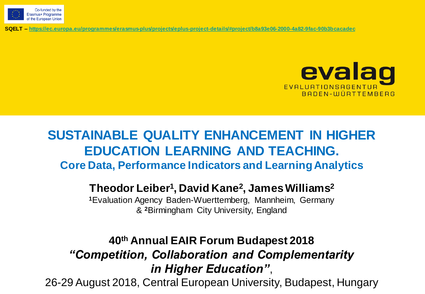

**SQELT – <https://ec.europa.eu/programmes/erasmus-plus/projects/eplus-project-details/#project/b8a93e06-2000-4a82-9fac-90b3bcacadec>**



# **SUSTAINABLE QUALITY ENHANCEMENT IN HIGHER EDUCATION LEARNING AND TEACHING. Core Data, Performance Indicators and Learning Analytics**

#### **Theodor Leiber<sup>1</sup> , David Kane<sup>2</sup> , James Williams<sup>2</sup>**

**<sup>1</sup>**Evaluation Agency Baden-Wuerttemberg, Mannheim, Germany & **<sup>2</sup>**Birmingham City University, England

### **40th Annual EAIR Forum Budapest 2018** *"Competition, Collaboration and Complementarity in Higher Education"*,

26-29 August 2018, Central European University, Budapest, Hungary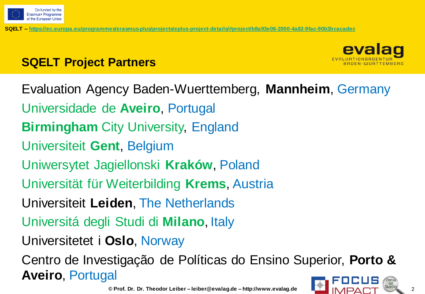

**SQELT Project Partners**

**SQELT – [https://ec.europa.eu/programmes/erasmus-plus/projects/eplus-project-details/#project/b8a93e06-2000-4a82-9fac-90b3bcacadec](https://evalag08.evalag.de/owa/redir.aspx?C=9trIlt86bUWHEw3oG1WpbcUJp062DNYIKd5mgxZNTtmQS7bcdK1szMrjFDPXVFo9HoZt7PBjCZc.&URL=https://ec.europa.eu/programmes/erasmus-plus/projects/eplus-project-details/#project/b8a93e06-2000-4a82-9fac-90b3bcacadec)**



Evaluation Agency Baden-Wuerttemberg, **Mannheim**, Germany Universidade de **Aveiro**, Portugal **Birmingham** City University, England Universiteit **Gent**, Belgium Uniwersytet Jagiellonski **Kraków**, Poland Universität für Weiterbilding **Krems**, Austria Universiteit **Leiden**, The Netherlands Universitá degli Studi di **Milano**, Italy Universitetet i **Oslo**, Norway Centro de Investigação de Políticas do Ensino Superior, **Porto & Aveiro**, Portugal

**© Prof. Dr. Dr. Theodor Leiber – leiber@evalag.de – http://www.evalag.de** 2



evalad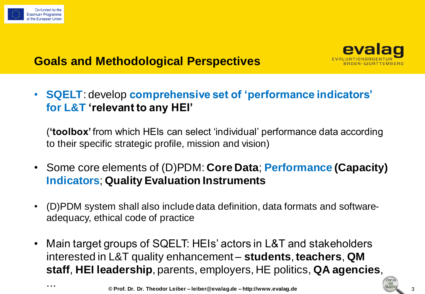



# **Goals and Methodological Perspectives**

• **SQELT**: develop **comprehensive set of 'performance indicators' for L&T 'relevant to any HEI'**

(**'toolbox'** from which HEIs can select 'individual' performance data according to their specific strategic profile, mission and vision)

- Some core elements of (D)PDM: **Core Data**; **Performance (Capacity) Indicators**; **Quality Evaluation Instruments**
- (D)PDM system shall also include data definition, data formats and softwareadequacy, ethical code of practice
- Main target groups of SQELT: HEIs' actors in L&T and stakeholders interested in L&T quality enhancement – **students**, **teachers**, **QM staff**, **HEI leadership**, parents, employers, HE politics, **QA agencies**,

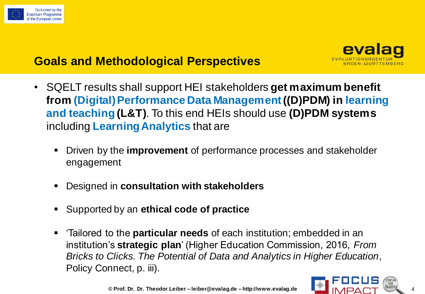

### **Goals and Methodological Perspectives**



- SQELT results shall support HEI stakeholders **get maximum benefit from (Digital) Performance Data Management ((D)PDM) in learning and teaching (L&T)**. To this end HEIs should use **(D)PDM systems** including **Learning Analytics** that are
	- Driven by the **improvement** of performance processes and stakeholder engagement
	- Designed in **consultation with stakeholders**
	- Supported by an **ethical code of practice**
	- 'Tailored to the **particular needs** of each institution; embedded in an institution's **strategic plan**' (Higher Education Commission, 2016, *From Bricks to Clicks. The Potential of Data and Analytics in Higher Education*, Policy Connect, p. iii).

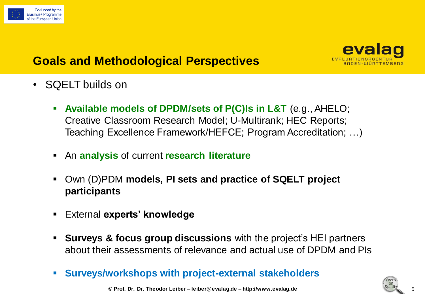



## **Goals and Methodological Perspectives**

- SQELT builds on
	- **Available models of DPDM/sets of P(C)Is in L&T** (e.g., AHELO; Creative Classroom Research Model; U-Multirank; HEC Reports; Teaching Excellence Framework/HEFCE; Program Accreditation; …)
	- An **analysis** of current **research literature**
	- Own (D)PDM **models, PI sets and practice of SQELT project participants**
	- External **experts' knowledge**
	- **Surveys & focus group discussions** with the project's HEI partners about their assessments of relevance and actual use of DPDM and PIs
	- **Surveys/workshops with project-external stakeholders**

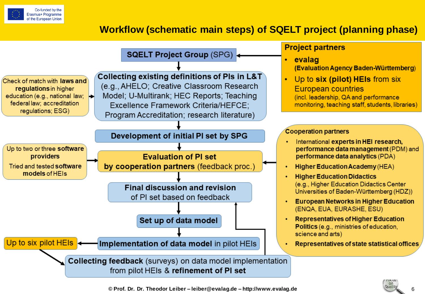

#### **Workflow (schematic main steps) of SQELT project (planning phase)**

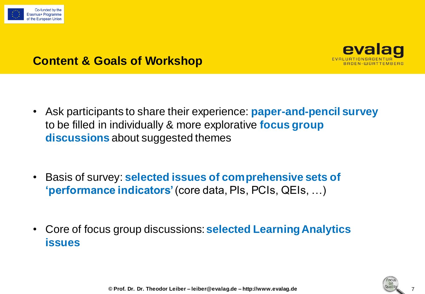



### **Content & Goals of Workshop**

- Ask participants to share their experience: **paper-and-pencil survey** to be filled in individually & more explorative **focus group discussions** about suggested themes
- Basis of survey: **selected issues of comprehensive sets of 'performance indicators'** (core data, PIs, PCIs, QEIs, …)
- Core of focus group discussions: **selected Learning Analytics issues**

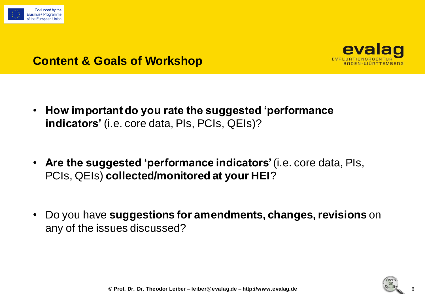



### **Content & Goals of Workshop**

- **How important do you rate the suggested 'performance indicators'** (i.e. core data, PIs, PCIs, QEIs)?
- **Are the suggested 'performance indicators'** (i.e. core data, PIs, PCIs, QEIs) **collected/monitored at your HEI**?
- Do you have **suggestions for amendments, changes, revisions** on any of the issues discussed?